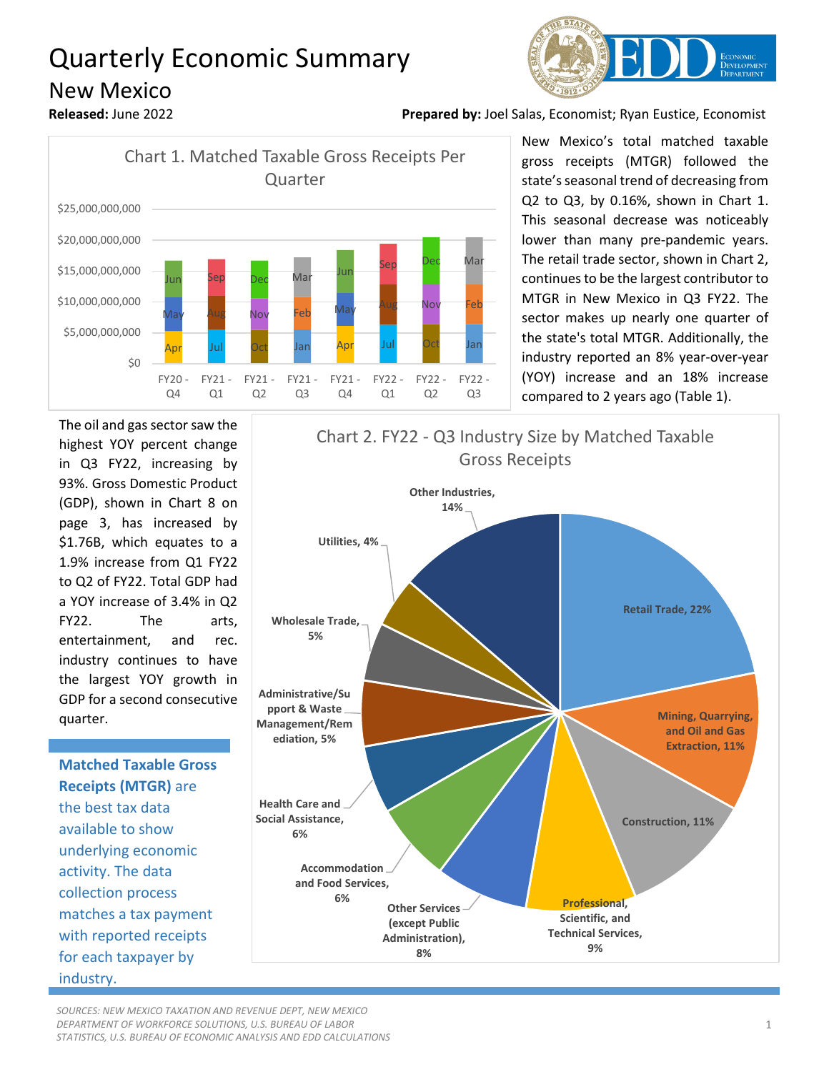## Quarterly Economic Summary New Mexico







 New Mexico's total matched taxable gross receipts (MTGR) followed the state's seasonal trend of decreasing from Q2 to Q3, by 0.16%, shown in Chart 1. This seasonal decrease was noticeably lower than many pre-pandemic years. The retail trade sector, shown in Chart 2, continues to be the largest contributor to MTGR in New Mexico in Q3 FY22. The sector makes up nearly one quarter of the state's total MTGR. Additionally, the industry reported an 8% year-over-year (YOY) increase and an 18% increase compared to 2 years ago (Table 1).

The oil and gas sector saw the highest YOY percent change in Q3 FY22, increasing by 93%. Gross Domestic Product (GDP), shown in Chart 8 on page 3, has increased by \$1.76B, which equates to a 1.9% increase from Q1 FY22 to Q2 of FY22. Total GDP had a YOY increase of 3.4% in Q2 FY22. The arts, entertainment, and rec. industry continues to have the largest YOY growth in GDP for a second consecutive quarter.

**Matched Taxable Gross Receipts (MTGR)** are the best tax data available to show underlying economic activity. The data collection process matches a tax payment with reported receipts for each taxpayer by industry.



*SOURCES: NEW MEXICO TAXATION AND REVENUE DEPT, NEW MEXICO DEPARTMENT OF WORKFORCE SOLUTIONS, U.S. BUREAU OF LABOR STATISTICS, U.S. BUREAU OF ECONOMIC ANALYSIS AND EDD CALCULATIONS*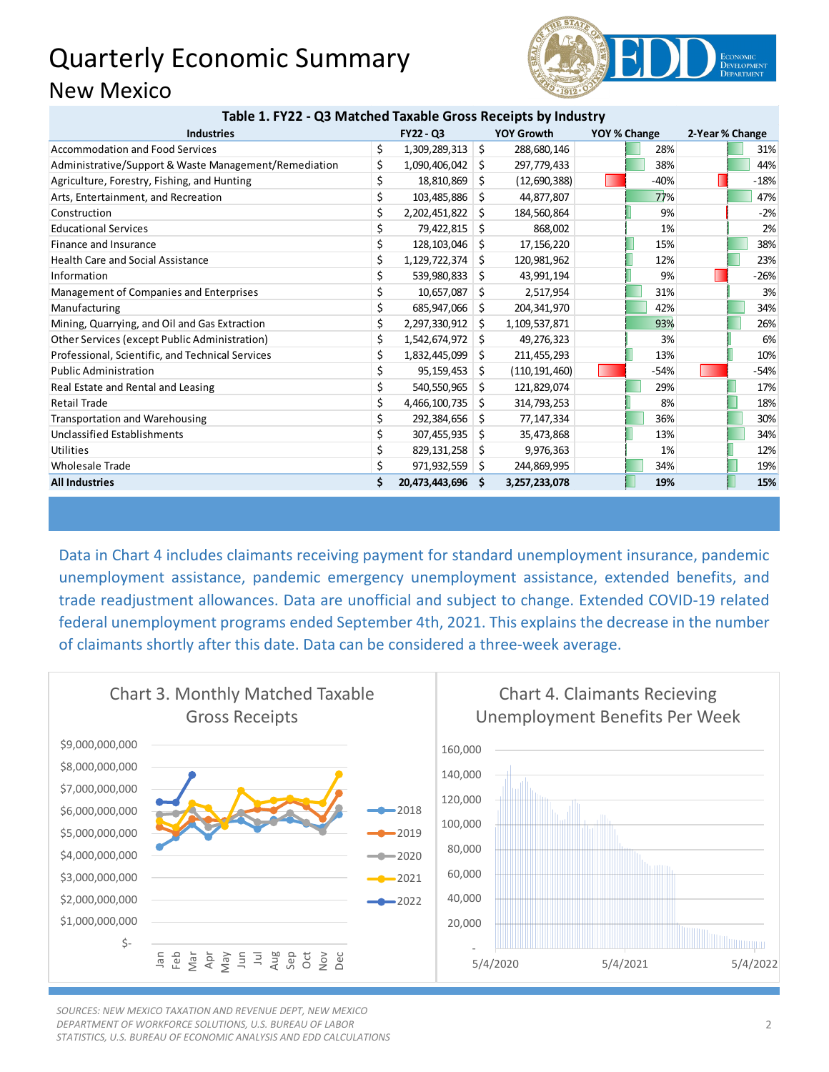## Quarterly Economic Summary New Mexico



|  |  | Table 1. FY22 - Q3 Matched Taxable Gross Receipts by Industry |
|--|--|---------------------------------------------------------------|
|--|--|---------------------------------------------------------------|

| <b>Industries</b>                                     | FY22 - Q3           |     | <b>YOY Growth</b> | YOY % Change | 2-Year % Change |        |
|-------------------------------------------------------|---------------------|-----|-------------------|--------------|-----------------|--------|
| <b>Accommodation and Food Services</b>                | \$<br>1,309,289,313 | -\$ | 288,680,146       | 28%          |                 | 31%    |
| Administrative/Support & Waste Management/Remediation | \$<br>1,090,406,042 | -\$ | 297,779,433       | 38%          |                 | 44%    |
| Agriculture, Forestry, Fishing, and Hunting           | \$<br>18,810,869    | Ŝ.  | (12,690,388)      | $-40%$       |                 | $-18%$ |
| Arts, Entertainment, and Recreation                   | \$<br>103,485,886   | S.  | 44,877,807        | 77%          |                 | 47%    |
| Construction                                          | \$<br>2,202,451,822 | Ŝ.  | 184,560,864       | 9%           |                 | $-2%$  |
| <b>Educational Services</b>                           | 79,422,815          | -S  | 868,002           | 1%           |                 | 2%     |
| Finance and Insurance                                 | \$<br>128,103,046   | S.  | 17,156,220        | 15%          |                 | 38%    |
| <b>Health Care and Social Assistance</b>              | \$<br>1,129,722,374 | -\$ | 120,981,962       | 12%          |                 | 23%    |
| Information                                           | \$<br>539,980,833   | S.  | 43,991,194        | 9%           |                 | $-26%$ |
| Management of Companies and Enterprises               | \$<br>10,657,087    | -S  | 2,517,954         | 31%          |                 | 3%     |
| Manufacturing                                         | \$<br>685,947,066   | -S  | 204,341,970       | 42%          |                 | 34%    |
| Mining, Quarrying, and Oil and Gas Extraction         | \$<br>2,297,330,912 | Ŝ.  | 1,109,537,871     | 93%          |                 | 26%    |
| Other Services (except Public Administration)         | \$<br>1,542,674,972 | -Ś  | 49,276,323        | 3%           |                 | 6%     |
| Professional, Scientific, and Technical Services      | \$<br>1,832,445,099 | -S  | 211,455,293       | 13%          |                 | 10%    |
| <b>Public Administration</b>                          | 95,159,453          | S.  | (110, 191, 460)   | $-54%$       |                 | $-54%$ |
| Real Estate and Rental and Leasing                    | \$<br>540,550,965   | Ŝ.  | 121,829,074       | 29%          |                 | 17%    |
| <b>Retail Trade</b>                                   | \$<br>4,466,100,735 | \$. | 314,793,253       | 8%           |                 | 18%    |
| <b>Transportation and Warehousing</b>                 | \$<br>292,384,656   | S.  | 77,147,334        | 36%          |                 | 30%    |
| Unclassified Establishments                           | \$<br>307,455,935   | S.  | 35,473,868        | 13%          |                 | 34%    |
| Utilities                                             | \$<br>829,131,258   | -\$ | 9,976,363         | 1%           |                 | 12%    |
| <b>Wholesale Trade</b>                                | \$<br>971,932,559   | -S  | 244,869,995       | 34%          |                 | 19%    |
| <b>All Industries</b>                                 | 20,473,443,696 \$   |     | 3,257,233,078     | 19%          |                 | 15%    |

Data in Chart 4 includes claimants receiving payment for standard unemployment insurance, pandemic unemployment assistance, pandemic emergency unemployment assistance, extended benefits, and trade readjustment allowances. Data are unofficial and subject to change. Extended COVID-19 related federal unemployment programs ended September 4th, 2021. This explains the decrease in the number of claimants shortly after this date. Data can be considered a three-week average.



*SOURCES: NEW MEXICO TAXATION AND REVENUE DEPT, NEW MEXICO DEPARTMENT OF WORKFORCE SOLUTIONS, U.S. BUREAU OF LABOR STATISTICS, U.S. BUREAU OF ECONOMIC ANALYSIS AND EDD CALCULATIONS*